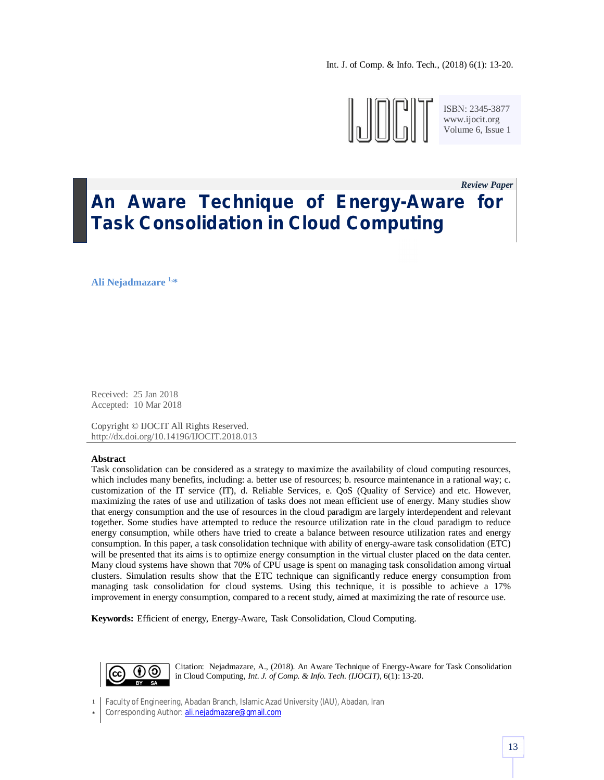Int. J. of Comp. & Info. Tech., (2018) 6(1): 13-20.



ISBN: 2345-3877 www.ijocit.org Volume 6, Issue 1

*Review Paper\_*

# **An Aware Technique of Energy-Aware for Task Consolidation in Cloud Computing**

**Ali Nejadmazare 1, \***

Received: 25 Jan 2018 Accepted: 10 Mar 2018

Copyright © IJOCIT All Rights Reserved. http://dx.doi.org/10.14196/IJOCIT.2018.013

#### **Abstract**

Task consolidation can be considered as a strategy to maximize the availability of cloud computing resources, which includes many benefits, including: a. better use of resources; b. resource maintenance in a rational way; c. customization of the IT service (IT), d. Reliable Services, e. QoS (Quality of Service) and etc. However, maximizing the rates of use and utilization of tasks does not mean efficient use of energy. Many studies show that energy consumption and the use of resources in the cloud paradigm are largely interdependent and relevant together. Some studies have attempted to reduce the resource utilization rate in the cloud paradigm to reduce energy consumption, while others have tried to create a balance between resource utilization rates and energy consumption. In this paper, a task consolidation technique with ability of energy-aware task consolidation (ETC) will be presented that its aims is to optimize energy consumption in the virtual cluster placed on the data center. Many cloud systems have shown that 70% of CPU usage is spent on managing task consolidation among virtual clusters. Simulation results show that the ETC technique can significantly reduce energy consumption from managing task consolidation for cloud systems. Using this technique, it is possible to achieve a 17% improvement in energy consumption, compared to a recent study, aimed at maximizing the rate of resource use.

**Keywords:** Efficient of energy, Energy-Aware, Task Consolidation, Cloud Computing.



Citation: Nejadmazare, A., (2018). An Aware Technique of Energy-Aware for Task Consolidation in Cloud Computing, *Int. J. of Comp. & Info. Tech. (IJOCIT)*, 6(1): 13-20.

1 Faculty of Engineering, Abadan Branch, Islamic Azad University (IAU), Abadan, Iran

\* Corresponding Author: ali.nejadmazare@gmail.com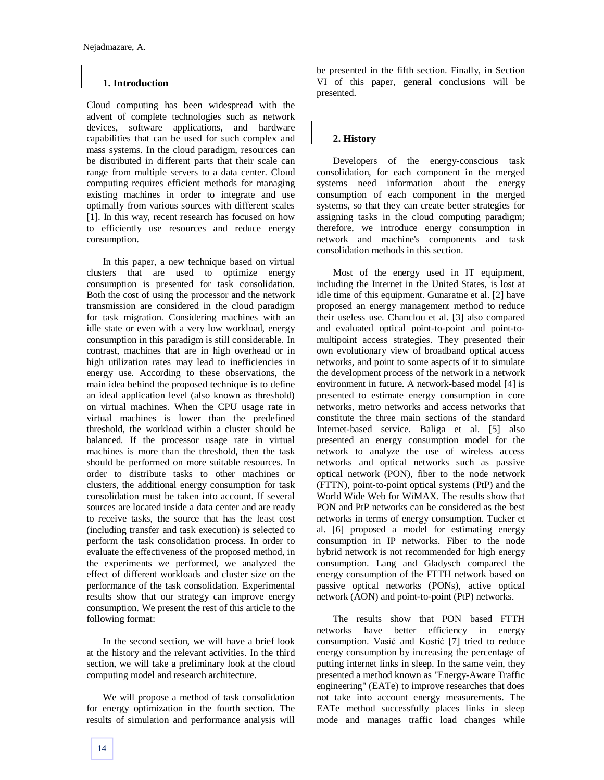#### **1. Introduction**

Cloud computing has been widespread with the advent of complete technologies such as network devices, software applications, and hardware capabilities that can be used for such complex and mass systems. In the cloud paradigm, resources can be distributed in different parts that their scale can range from multiple servers to a data center. Cloud computing requires efficient methods for managing existing machines in order to integrate and use optimally from various sources with different scales [1]. In this way, recent research has focused on how to efficiently use resources and reduce energy consumption.

In this paper, a new technique based on virtual clusters that are used to optimize energy consumption is presented for task consolidation. Both the cost of using the processor and the network transmission are considered in the cloud paradigm for task migration. Considering machines with an idle state or even with a very low workload, energy consumption in this paradigm is still considerable. In contrast, machines that are in high overhead or in high utilization rates may lead to inefficiencies in energy use. According to these observations, the main idea behind the proposed technique is to define an ideal application level (also known as threshold) on virtual machines. When the CPU usage rate in virtual machines is lower than the predefined threshold, the workload within a cluster should be balanced. If the processor usage rate in virtual machines is more than the threshold, then the task should be performed on more suitable resources. In order to distribute tasks to other machines or clusters, the additional energy consumption for task consolidation must be taken into account. If several sources are located inside a data center and are ready to receive tasks, the source that has the least cost (including transfer and task execution) is selected to perform the task consolidation process. In order to evaluate the effectiveness of the proposed method, in the experiments we performed, we analyzed the effect of different workloads and cluster size on the performance of the task consolidation. Experimental results show that our strategy can improve energy consumption. We present the rest of this article to the following format:

In the second section, we will have a brief look at the history and the relevant activities. In the third section, we will take a preliminary look at the cloud computing model and research architecture.

We will propose a method of task consolidation for energy optimization in the fourth section. The results of simulation and performance analysis will be presented in the fifth section. Finally, in Section VI of this paper, general conclusions will be presented.

## **2. History**

Developers of the energy-conscious task consolidation, for each component in the merged systems need information about the energy consumption of each component in the merged systems, so that they can create better strategies for assigning tasks in the cloud computing paradigm; therefore, we introduce energy consumption in network and machine's components and task consolidation methods in this section.

Most of the energy used in IT equipment, including the Internet in the United States, is lost at idle time of this equipment. Gunaratne et al. [2] have proposed an energy management method to reduce their useless use. Chanclou et al. [3] also compared and evaluated optical point-to-point and point-tomultipoint access strategies. They presented their own evolutionary view of broadband optical access networks, and point to some aspects of it to simulate the development process of the network in a network environment in future. A network-based model [4] is presented to estimate energy consumption in core networks, metro networks and access networks that constitute the three main sections of the standard Internet-based service. Baliga et al. [5] also presented an energy consumption model for the network to analyze the use of wireless access networks and optical networks such as passive optical network (PON), fiber to the node network (FTTN), point-to-point optical systems (PtP) and the World Wide Web for WiMAX. The results show that PON and PtP networks can be considered as the best networks in terms of energy consumption. Tucker et al. [6] proposed a model for estimating energy consumption in IP networks. Fiber to the node hybrid network is not recommended for high energy consumption. Lang and Gladysch compared the energy consumption of the FTTH network based on passive optical networks (PONs), active optical network (AON) and point-to-point (PtP) networks.

The results show that PON based FTTH networks have better efficiency in energy consumption. Vasić and Kostić [7] tried to reduce energy consumption by increasing the percentage of putting internet links in sleep. In the same vein, they presented a method known as "Energy-Aware Traffic engineering" (EATe) to improve researches that does not take into account energy measurements. The EATe method successfully places links in sleep mode and manages traffic load changes while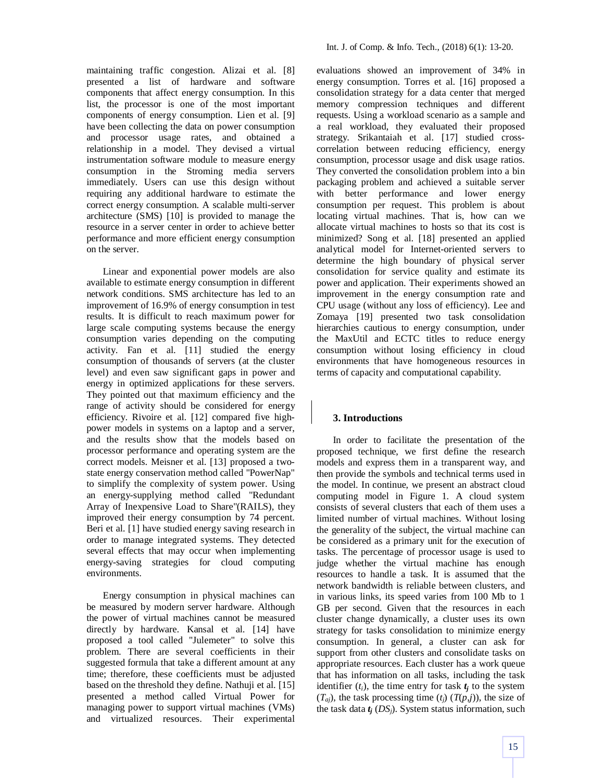maintaining traffic congestion. Alizai et al. [8] presented a list of hardware and software components that affect energy consumption. In this list, the processor is one of the most important components of energy consumption. Lien et al. [9] have been collecting the data on power consumption and processor usage rates, and obtained a relationship in a model. They devised a virtual instrumentation software module to measure energy consumption in the Stroming media servers immediately. Users can use this design without requiring any additional hardware to estimate the correct energy consumption. A scalable multi-server architecture (SMS) [10] is provided to manage the resource in a server center in order to achieve better performance and more efficient energy consumption on the server.

Linear and exponential power models are also available to estimate energy consumption in different network conditions. SMS architecture has led to an improvement of 16.9% of energy consumption in test results. It is difficult to reach maximum power for large scale computing systems because the energy consumption varies depending on the computing activity. Fan et al. [11] studied the energy consumption of thousands of servers (at the cluster level) and even saw significant gaps in power and energy in optimized applications for these servers. They pointed out that maximum efficiency and the range of activity should be considered for energy efficiency. Rivoire et al. [12] compared five highpower models in systems on a laptop and a server, and the results show that the models based on processor performance and operating system are the correct models. Meisner et al. [13] proposed a twostate energy conservation method called "PowerNap" to simplify the complexity of system power. Using an energy-supplying method called "Redundant Array of Inexpensive Load to Share"(RAILS), they improved their energy consumption by 74 percent. Beri et al. [1] have studied energy saving research in order to manage integrated systems. They detected several effects that may occur when implementing energy-saving strategies for cloud computing environments.

Energy consumption in physical machines can be measured by modern server hardware. Although the power of virtual machines cannot be measured directly by hardware. Kansal et al. [14] have proposed a tool called "Julemeter" to solve this problem. There are several coefficients in their suggested formula that take a different amount at any time; therefore, these coefficients must be adjusted based on the threshold they define. Nathuji et al. [15] presented a method called Virtual Power for managing power to support virtual machines (VMs) and virtualized resources. Their experimental

evaluations showed an improvement of 34% in energy consumption. Torres et al. [16] proposed a consolidation strategy for a data center that merged memory compression techniques and different requests. Using a workload scenario as a sample and a real workload, they evaluated their proposed strategy. Srikantaiah et al. [17] studied crosscorrelation between reducing efficiency, energy consumption, processor usage and disk usage ratios. They converted the consolidation problem into a bin packaging problem and achieved a suitable server with better performance and lower energy consumption per request. This problem is about locating virtual machines. That is, how can we allocate virtual machines to hosts so that its cost is minimized? Song et al. [18] presented an applied analytical model for Internet-oriented servers to determine the high boundary of physical server consolidation for service quality and estimate its power and application. Their experiments showed an improvement in the energy consumption rate and CPU usage (without any loss of efficiency). Lee and Zomaya [19] presented two task consolidation hierarchies cautious to energy consumption, under the MaxUtil and ECTC titles to reduce energy consumption without losing efficiency in cloud environments that have homogeneous resources in terms of capacity and computational capability.

# **3. Introductions**

In order to facilitate the presentation of the proposed technique, we first define the research models and express them in a transparent way, and then provide the symbols and technical terms used in the model. In continue, we present an abstract cloud computing model in Figure 1. A cloud system consists of several clusters that each of them uses a limited number of virtual machines. Without losing the generality of the subject, the virtual machine can be considered as a primary unit for the execution of tasks. The percentage of processor usage is used to judge whether the virtual machine has enough resources to handle a task. It is assumed that the network bandwidth is reliable between clusters, and in various links, its speed varies from 100 Mb to 1 GB per second. Given that the resources in each cluster change dynamically, a cluster uses its own strategy for tasks consolidation to minimize energy consumption. In general, a cluster can ask for support from other clusters and consolidate tasks on appropriate resources. Each cluster has a work queue that has information on all tasks, including the task identifier  $(t_i)$ , the time entry for task  $t_i$  to the system  $(T_{ai})$ , the task processing time  $(t_i)$   $(T(p,i))$ , the size of the task data *t<sup>j</sup>* (*DSj*). System status information, such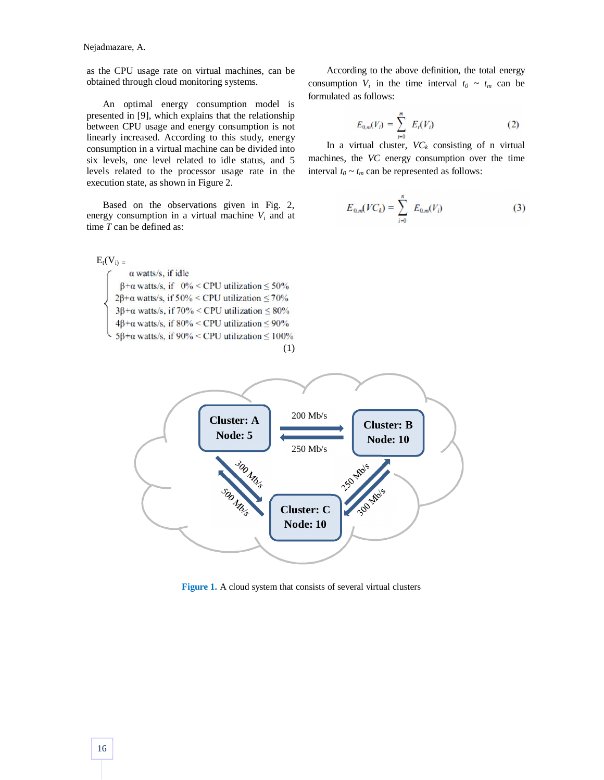Nejadmazare, A.

as the CPU usage rate on virtual machines, can be obtained through cloud monitoring systems.

An optimal energy consumption model is presented in [9], which explains that the relationship between CPU usage and energy consumption is not linearly increased. According to this study, energy consumption in a virtual machine can be divided into six levels, one level related to idle status, and 5 levels related to the processor usage rate in the execution state, as shown in Figure 2.

Based on the observations given in Fig. 2, energy consumption in a virtual machine  $V_i$  and at time *T* can be defined as:

 $E_t(V_i)$  =  $\alpha$  watts/s, if idle  $\beta$ + $\alpha$  watts/s, if 0% < CPU utilization  $\leq$  50%  $2\beta + \alpha$  watts/s, if 50% < CPU utilization  $\leq 70\%$  $3\beta + \alpha$  watts/s, if 70% < CPU utilization  $\leq 80\%$  $4\beta + \alpha$  watts/s, if  $80\% < CPU$  utilization  $\leq 90\%$  $5\beta + \alpha$  watts/s, if 90% < CPU utilization  $\leq 100\%$ (1)

According to the above definition, the total energy consumption  $V_i$  in the time interval  $t_0 \sim t_m$  can be formulated as follows:

$$
E_{0,m}(V_i) = \sum_{i=0}^{m} E_i(V_i)
$$
 (2)

In a virtual cluster,  $VC_k$  consisting of n virtual machines, the *VC* energy consumption over the time interval  $t_0 \sim t_m$  can be represented as follows:

$$
E_{0,m}(VC_k) = \sum_{i=0}^{n} E_{0,m}(V_i)
$$
 (3)



**Figure 1.** A cloud system that consists of several virtual clusters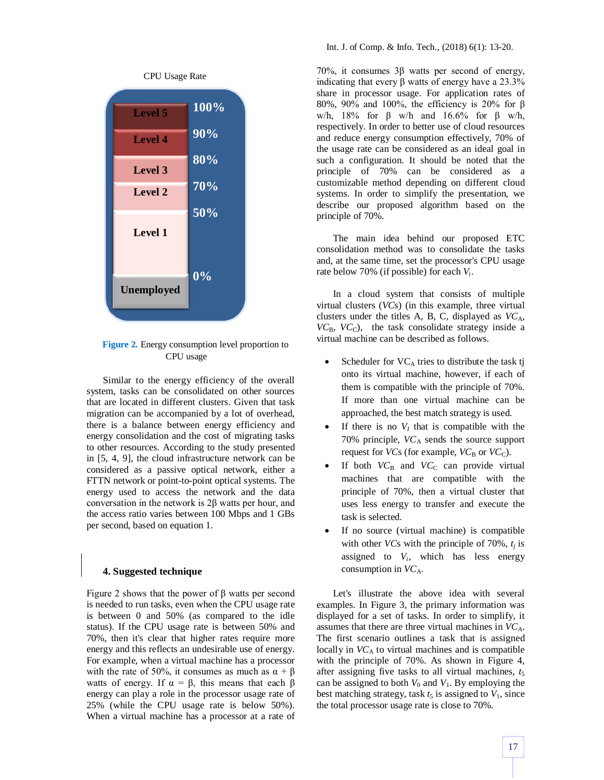

**Figure 2.** Energy consumption level proportion to CPU usage

Similar to the energy efficiency of the overall system, tasks can be consolidated on other sources that are located in different clusters. Given that task migration can be accompanied by a lot of overhead, there is a balance between energy efficiency and energy consolidation and the cost of migrating tasks to other resources. According to the study presented in [5, 4, 9], the cloud infrastructure network can be considered as a passive optical network, either a FTTN network or point-to-point optical systems. The energy used to access the network and the data conversation in the network is 2β watts per hour, and the access ratio varies between 100 Mbps and 1 GBs per second, based on equation 1.

#### **4. Suggested technique**

Figure 2 shows that the power of  $β$  watts per second is needed to run tasks, even when the CPU usage rate is between 0 and 50% (as compared to the idle status). If the CPU usage rate is between 50% and 70%, then it's clear that higher rates require more energy and this reflects an undesirable use of energy. For example, when a virtual machine has a processor with the rate of 50%, it consumes as much as  $\alpha + \beta$ watts of energy. If  $\alpha = \beta$ , this means that each  $\beta$ energy can play a role in the processor usage rate of 25% (while the CPU usage rate is below 50%). When a virtual machine has a processor at a rate of

70%, it consumes 3β watts per second of energy, indicating that every β watts of energy have a  $23.3%$ share in processor usage. For application rates of 80%, 90% and 100%, the efficiency is 20% for β w/h, 18% for β w/h and 16.6% for β w/h, respectively. In order to better use of cloud resources and reduce energy consumption effectively, 70% of the usage rate can be considered as an ideal goal in such a configuration. It should be noted that the principle of 70% can be considered as a customizable method depending on different cloud systems. In order to simplify the presentation, we describe our proposed algorithm based on the principle of 70%.

The main idea behind our proposed ETC consolidation method was to consolidate the tasks and, at the same time, set the processor's CPU usage rate below 70% (if possible) for each *V<sup>i</sup>* .

In a cloud system that consists of multiple virtual clusters (*VC*s) (in this example, three virtual clusters under the titles A, B, C, displayed as  $VC<sub>A</sub>$ ,  $VC_{\rm B}$ ,  $VC_{\rm C}$ ), the task consolidate strategy inside a virtual machine can be described as follows.

- Scheduler for  $VC_A$  tries to distribute the task tj onto its virtual machine, however, if each of them is compatible with the principle of 70%. If more than one virtual machine can be approached, the best match strategy is used.
- If there is no  $V_I$  that is compatible with the 70% principle, *VC*<sup>A</sup> sends the source support request for *VC*s (for example,  $VC_B$  or  $VC_C$ ).
- If both  $VC<sub>B</sub>$  and  $VC<sub>C</sub>$  can provide virtual machines that are compatible with the principle of 70%, then a virtual cluster that uses less energy to transfer and execute the task is selected.
- If no source (virtual machine) is compatible with other *VC*s with the principle of 70%, *t<sup>j</sup>* is assigned to  $V_i$ , which has less energy consumption in *VC*A.

Let's illustrate the above idea with several examples. In Figure 3, the primary information was displayed for a set of tasks. In order to simplify, it assumes that there are three virtual machines in *VC*A. The first scenario outlines a task that is assigned locally in  $VC_A$  to virtual machines and is compatible with the principle of 70%. As shown in Figure 4, after assigning five tasks to all virtual machines,  $t_5$ can be assigned to both  $V_0$  and  $V_1$ . By employing the best matching strategy, task  $t_5$  is assigned to  $V_1$ , since the total processor usage rate is close to 70%.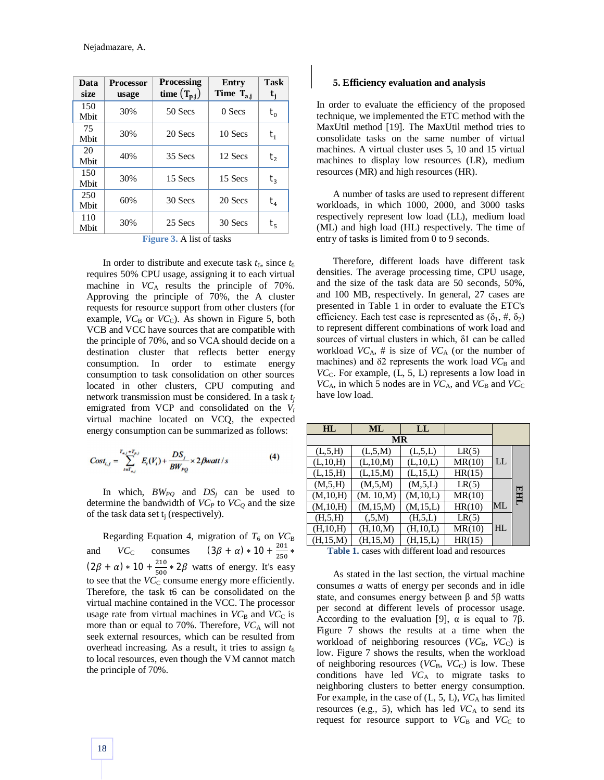| Data<br>size | <b>Processor</b><br>usage | <b>Processing</b><br>time $(T_{p,j})$ | Entry<br>Time $T_{a,i}$ | <b>Task</b><br>t <sub>i</sub> |
|--------------|---------------------------|---------------------------------------|-------------------------|-------------------------------|
| 150<br>Mbit  | 30%                       | 50 Secs                               | 0 Secs                  | $t_{0}$                       |
| 75<br>Mbit   | 30%                       | 20 Secs                               | 10 Secs                 | $t_{1}$                       |
| 20<br>Mbit   | 40%                       | 35 Secs                               | 12 Secs                 | $t_{2}$                       |
| 150<br>Mbit  | 30%                       | 15 Secs                               | 15 Secs                 | $t_{3}$                       |
| 250<br>Mbit  | 60%                       | 30 Secs                               | 20 Secs                 | $t_{4}$                       |
| 110<br>Mbit  | 30%                       | 25 Secs                               | 30 Secs                 | $\mathfrak{t}_{\mathfrak{s}}$ |

| <b>Figure 3.</b> A list of tasks |  |  |  |  |
|----------------------------------|--|--|--|--|
|----------------------------------|--|--|--|--|

In order to distribute and execute task  $t_6$ , since  $t_6$ requires 50% CPU usage, assigning it to each virtual machine in  $VC_A$  results the principle of 70%. Approving the principle of 70%, the A cluster requests for resource support from other clusters (for example,  $VC_B$  or  $VC_C$ ). As shown in Figure 5, both VCB and VCC have sources that are compatible with the principle of 70%, and so VCA should decide on a destination cluster that reflects better energy consumption. In order to estimate energy consumption to task consolidation on other sources located in other clusters, CPU computing and network transmission must be considered. In a task *t<sup>j</sup>* emigrated from VCP and consolidated on the *V<sup>i</sup>* virtual machine located on VCQ, the expected energy consumption can be summarized as follows:

$$
Cost_{i,j} = \sum_{i=T_{s,j}}^{T_{s,j}+T_{p,j}} E_i(V_i) + \frac{DS_j}{BW_{PQ}} \times 2\beta watt / s
$$
 (4)

In which, *BWPQ* and *DS<sup>j</sup>* can be used to determine the bandwidth of  $VC<sub>P</sub>$  to  $VC<sub>Q</sub>$  and the size of the task data set  $t_i$  (respectively).

Regarding Equation 4, migration of  $T_6$  on  $VC_B$ and *VC*<sub>C</sub> consumes  $(3\beta + \alpha) * 10 + \frac{201}{250}$  $rac{201}{250} *$  $(2\beta + \alpha) * 10 + \frac{210}{500}$  $\frac{210}{500}$  \* 2 $\beta$  watts of energy. It's easy to see that the  $VC<sub>C</sub>$  consume energy more efficiently. Therefore, the task t6 can be consolidated on the virtual machine contained in the VCC. The processor usage rate from virtual machines in  $VC_B$  and  $VC_C$  is more than or equal to 70%. Therefore,  $VC_A$  will not seek external resources, which can be resulted from overhead increasing. As a result, it tries to assign  $t<sub>6</sub>$ to local resources, even though the VM cannot match the principle of 70%.

#### **5. Efficiency evaluation and analysis**

In order to evaluate the efficiency of the proposed technique, we implemented the ETC method with the MaxUtil method [19]. The MaxUtil method tries to consolidate tasks on the same number of virtual machines. A virtual cluster uses 5, 10 and 15 virtual machines to display low resources (LR), medium resources (MR) and high resources (HR).

A number of tasks are used to represent different workloads, in which 1000, 2000, and 3000 tasks respectively represent low load (LL), medium load (ML) and high load (HL) respectively. The time of entry of tasks is limited from 0 to 9 seconds.

Therefore, different loads have different task densities. The average processing time, CPU usage, and the size of the task data are 50 seconds, 50%, and 100 MB, respectively. In general, 27 cases are presented in Table 1 in order to evaluate the ETC's efficiency. Each test case is represented as  $(\delta_1, \#, \delta_2)$ to represent different combinations of work load and sources of virtual clusters in which, δ1 can be called workload  $VC_A$ , # is size of  $VC_A$  (or the number of machines) and δ2 represents the work load  $VC<sub>B</sub>$  and  $VC<sub>C</sub>$ . For example,  $(L, 5, L)$  represents a low load in  $VC_A$ , in which 5 nodes are in  $VC_A$ , and  $VC_B$  and  $VC_C$ have low load.

| HL         | ML         | LL         |        |    |     |
|------------|------------|------------|--------|----|-----|
| МR         |            |            |        |    |     |
| (L, 5, H)  | (L, 5, M)  | (L, 5, L)  | LR(5)  |    |     |
| (L, 10, H) | (L, 10, M) | (L, 10, L) | MR(10) | LL |     |
| (L, 15, H) | (L, 15, M) | (L, 15, L) | HR(15) |    |     |
| (M, 5, H)  | (M, 5, M)  | (M, 5, L)  | LR(5)  |    |     |
| (M, 10, H) | (M. 10,M)  | (M, 10, L) | MR(10) |    | EHL |
| (M, 10, H) | (M, 15, M) | (M, 15, L) | HR(10) | ML |     |
| (H, 5, H)  | (.5,M)     | (H, 5, L)  | LR(5)  |    |     |
| (H, 10, H) | (H, 10, M) | (H, 10, L) | MR(10) | HL |     |
| (H, 15, M) | (H, 15, M) | (H, 15, L) | HR(15) |    |     |

**Table 1.** cases with different load and resources

As stated in the last section, the virtual machine consumes *a* watts of energy per seconds and in idle state, and consumes energy between β and 5β watts per second at different levels of processor usage. According to the evaluation [9],  $\alpha$  is equal to 7 $\beta$ . Figure 7 shows the results at a time when the workload of neighboring resources (*VC*<sub>B</sub>, *VC*<sub>C</sub>) is low. Figure 7 shows the results, when the workload of neighboring resources  $(VC_B, VC_C)$  is low. These conditions have led *VC*<sup>A</sup> to migrate tasks to neighboring clusters to better energy consumption. For example, in the case of (L, 5, L),  $VC_A$  has limited resources (e.g., 5), which has led  $VC_A$  to send its request for resource support to  $VC<sub>B</sub>$  and  $VC<sub>C</sub>$  to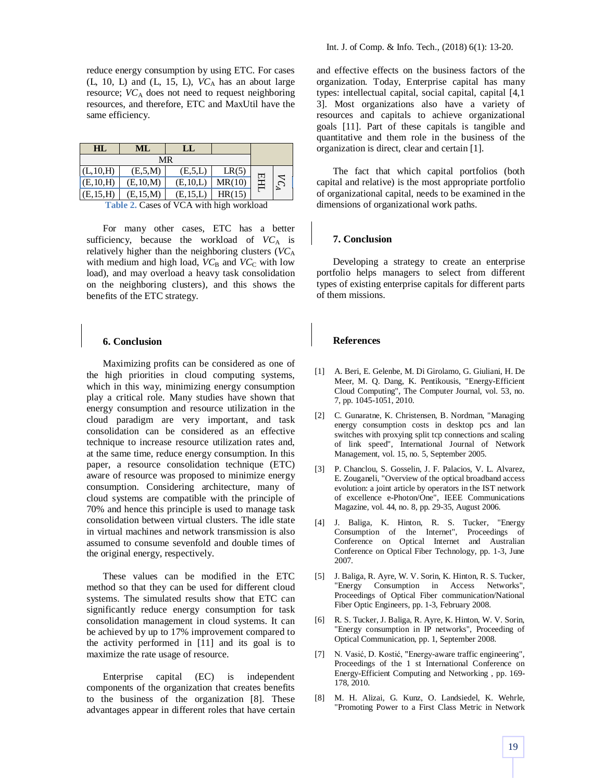reduce energy consumption by using ETC. For cases  $(L, 10, L)$  and  $(L, 15, L)$ ,  $VC<sub>A</sub>$  has an about large resource;  $VC_A$  does not need to request neighboring resources, and therefore, ETC and MaxUtil have the same efficiency.

| HL         | ML         | LL         |        |     |                             |
|------------|------------|------------|--------|-----|-----------------------------|
| MR         |            |            |        |     |                             |
| (L, 10, H) | (E,5,M)    | (E, 5, L)  | LR(5)  |     |                             |
| (E, 10, H) | (E, 10, M) | (E, 10, L) | MR(10) | EНЦ | $\mathcal{L}_{\mathcal{A}}$ |
| (E, 15, H) | (E, 15, M) | (E.15,L)   | HR(15) |     |                             |

**Table 2.** Cases of VCA with high workload

For many other cases, ETC has a better sufficiency, because the workload of  $VC_A$  is relatively higher than the neighboring clusters (*VC*<sup>A</sup> with medium and high load,  $VC_B$  and  $VC_C$  with low load), and may overload a heavy task consolidation on the neighboring clusters), and this shows the benefits of the ETC strategy.

#### **6. Conclusion**

Maximizing profits can be considered as one of the high priorities in cloud computing systems, which in this way, minimizing energy consumption play a critical role. Many studies have shown that energy consumption and resource utilization in the cloud paradigm are very important, and task consolidation can be considered as an effective technique to increase resource utilization rates and, at the same time, reduce energy consumption. In this paper, a resource consolidation technique (ETC) aware of resource was proposed to minimize energy consumption. Considering architecture, many of cloud systems are compatible with the principle of 70% and hence this principle is used to manage task consolidation between virtual clusters. The idle state in virtual machines and network transmission is also assumed to consume sevenfold and double times of the original energy, respectively.

These values can be modified in the ETC method so that they can be used for different cloud systems. The simulated results show that ETC can significantly reduce energy consumption for task consolidation management in cloud systems. It can be achieved by up to 17% improvement compared to the activity performed in [11] and its goal is to maximize the rate usage of resource.

Enterprise capital (EC) is independent components of the organization that creates benefits to the business of the organization [8]. These advantages appear in different roles that have certain and effective effects on the business factors of the organization. Today, Enterprise capital has many types: intellectual capital, social capital, capital [4,1 3]. Most organizations also have a variety of resources and capitals to achieve organizational goals [11]. Part of these capitals is tangible and quantitative and them role in the business of the organization is direct, clear and certain [1].

The fact that which capital portfolios (both capital and relative) is the most appropriate portfolio of organizational capital, needs to be examined in the dimensions of organizational work paths.

### **7. Conclusion**

Developing a strategy to create an enterprise portfolio helps managers to select from different types of existing enterprise capitals for different parts of them missions.

#### **References**

- [1] A. Beri, E. Gelenbe, M. Di Girolamo, G. Giuliani, H. De Meer, M. Q. Dang, K. Pentikousis, "Energy-Efficient Cloud Computing", The Computer Journal, vol. 53, no. 7, pp. 1045-1051, 2010.
- [2] C. Gunaratne, K. Christensen, B. Nordman, "Managing energy consumption costs in desktop pcs and lan switches with proxying split tcp connections and scaling of link speed", International Journal of Network Management, vol. 15, no. 5, September 2005.
- [3] P. Chanclou, S. Gosselin, J. F. Palacios, V. L. Alvarez, E. Zouganeli, "Overview of the optical broadband access evolution: a joint article by operators in the IST network of excellence e-Photon/One", IEEE Communications Magazine, vol. 44, no. 8, pp. 29-35, August 2006.
- [4] J. Baliga, K. Hinton, R. S. Tucker, "Energy Consumption of the Internet", Proceedings of Conference on Optical Internet and Australian Conference on Optical Fiber Technology, pp. 1-3, June 2007.
- [5] J. Baliga, R. Ayre, W. V. Sorin, K. Hinton, R. S. Tucker, "Energy Consumption in Access Networks", Proceedings of Optical Fiber communication/National Fiber Optic Engineers, pp. 1-3, February 2008.
- [6] R. S. Tucker, J. Baliga, R. Ayre, K. Hinton, W. V. Sorin, "Energy consumption in IP networks", Proceeding of Optical Communication, pp. 1, September 2008.
- [7] N. Vasić, D. Kostić, "Energy-aware traffic engineering", Proceedings of the 1 st International Conference on Energy-Efficient Computing and Networking , pp. 169- 178, 2010.
- [8] M. H. Alizai, G. Kunz, O. Landsiedel, K. Wehrle, "Promoting Power to a First Class Metric in Network